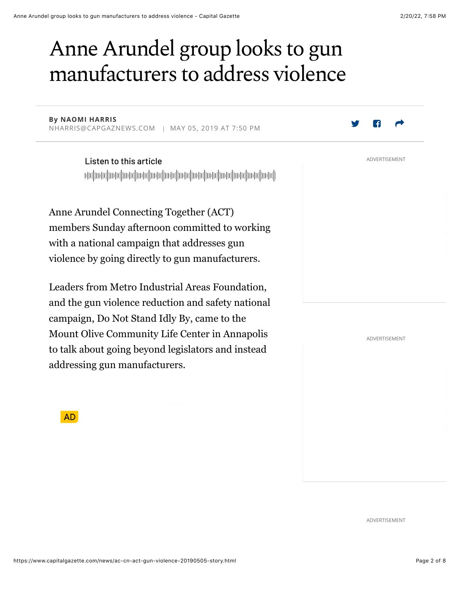# Anne Arundel group looks to gun manufacturers to address violence

**By NAOMI HARRIS** NHARRIS@CAPGAZNEWS.COM | MAY 05, 2019 AT 7:50 PM

> Listen to this article  $\blacksquare$ ||այիսի||ախիկատիկ||այիսի||արգիկատիկ||արգիկատիկ||արգիկատիկ|

Anne Arundel Connecting Together (ACT) members Sunday afternoon committed to working with a national campaign that addresses gun violence by going directly to gun manufacturers.

Leaders from Metro Industrial Areas Foundation, and the gun violence reduction and safety national campaign, Do Not Stand Idly By, came to the Mount Olive Community Life Center in Annapolis to talk about going beyond legislators and instead addressing gun manufacturers.

ADVERTISEMENT

**AD** 

ADVERTISEMENT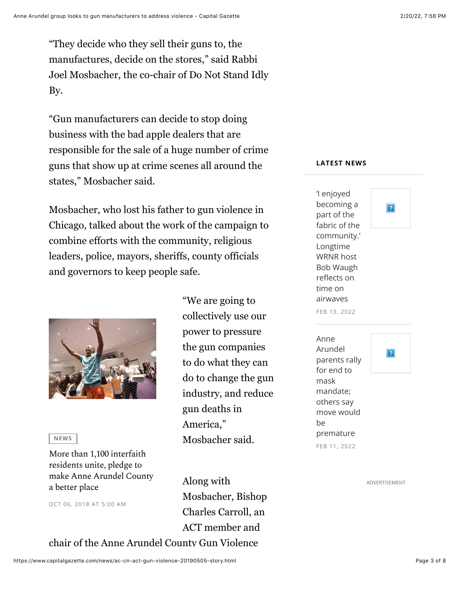"They decide who they sell their guns to, the manufactures, decide on the stores," said Rabbi Joel Mosbacher, the co-chair of Do Not Stand Idly By.

"Gun manufacturers can decide to stop doing business with the bad apple dealers that are responsible for the sale of a huge number of crime guns that show up at crime scenes all around the states," Mosbacher said.

Mosbacher, who lost his father to gun violence in Chicago, talked about the work of the campaign to combine efforts with the community, religious leaders, police, mayors, sheriffs, county officials and governors to keep people safe.



 $N$ **EWS** 

More than 1,100 interfaith residents unite, pledge to make Anne Arundel County a better place

OCT 06, 2018 AT 5:00 AM

"We are going to collectively use our power to pressure the gun companies to do what they can do to change the gun industry, and reduce gun deaths in America," Mosbacher said.

Along with Mosbacher, Bishop Charles Carroll, an ACT member and chair of the Anne Arundel County Gun Violence

#### **LATEST NEWS**

 $|?|$ 

'I enjoyed becoming a part of the fabric of the community.' Longtime WRNR host Bob Waugh reflects on time on airwaves FEB 13, 2022



ADVERTISEMENT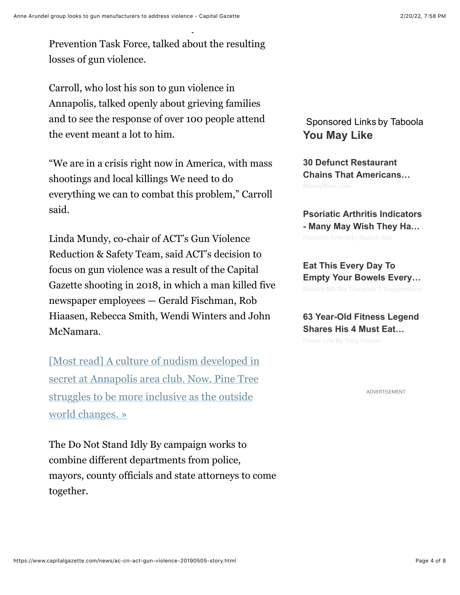Prevention Task Force, talked about the resulting losses of gun violence.

chair of the Anne Arundel County Gun Violence

Carroll, who lost his son to gun violence in Annapolis, talked openly about grieving families and to see the response of over 100 people attend the event meant a lot to him.

"We are in a crisis right now in America, with mass shootings and local killings We need to do everything we can to combat this problem," Carroll said.

Linda Mundy, co-chair of ACT's Gun Violence Reduction & Safety Team, said ACT's decision to focus on gun violence was a result of the Capital Gazette shooting in 2018, in which a man killed five newspaper employees — Gerald Fischman, Rob Hiaasen, Rebecca Smith, Wendi Winters and John McNamara.

[Most read] A culture of nudism developed in secret at Annapolis area club. Now, Pine Tree struggles to be more inclusive as the outside world changes. »

The Do Not Stand Idly By campaign works to combine different departments from police, mayors, county officials and state attorneys to come together.

#### Sponsored Links by Taboola **You May Like**

**30 Defunct Restaurant Chains That Americans…**

**Psoriatic Arthritis Indicators - Many May Wish They Ha…**

**Eat This Every Day To Empty Your Bowels Every…**

**63 Year-Old Fitness Legend Shares His 4 Must Eat…**

ADVERTISEMENT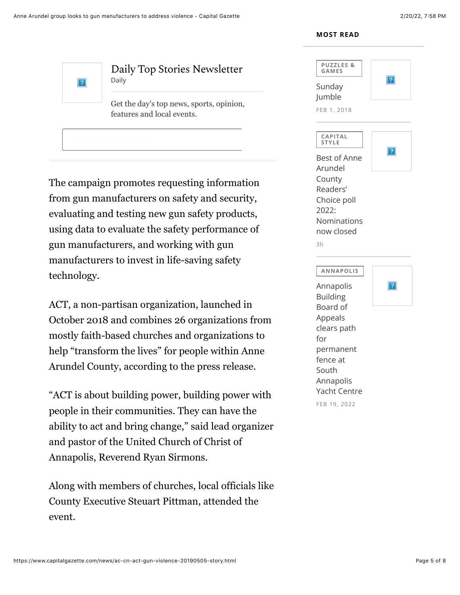**MOST READ** 



The campaign promotes requesting information from gun manufacturers on safety and security, evaluating and testing new gun safety products, using data to evaluate the safety performance of gun manufacturers, and working with gun manufacturers to invest in life-saving safety technology.

ACT, a non-partisan organization, launched in October 2018 and combines 26 organizations from mostly faith-based churches and organizations to help "transform the lives" for people within Anne Arundel County, according to the press release.

"ACT is about building power, building power with people in their communities. They can have the ability to act and bring change," said lead organizer and pastor of the United Church of Christ of Annapolis, Reverend Ryan Sirmons.

Along with members of churches, local officials like County Executive Steuart Pittman, attended the event.

| <b>PUZZLES&amp;</b><br>GAMES<br>Sunday | ? |
|----------------------------------------|---|
| Jumble                                 |   |
| FEB 1, 2018                            |   |
| CAPITAL<br><b>STYLE</b>                |   |
| <b>Best of Anne</b>                    |   |
| Arundel                                |   |
| County                                 |   |
| Readers'                               |   |
| Choice poll                            |   |
| 2022:                                  |   |
| Nominations                            |   |
|                                        |   |
| now closed                             |   |
| 3h                                     |   |
|                                        |   |
| <b>ANNAPOLIS</b>                       |   |
|                                        |   |
| <b>Building</b>                        |   |
| Annapolis<br>Board of                  |   |
| Appeals                                |   |
| clears path                            |   |
| for                                    |   |
| permanent                              |   |
| fence at                               |   |
| South                                  |   |
| Annapolis                              |   |
| <b>Yacht Centre</b>                    |   |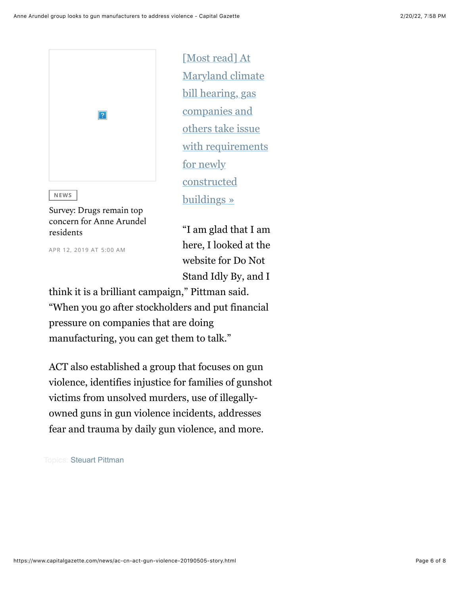

**NEWS** 

Survey: Drugs remain top concern for Anne Arundel residents

APR 12, 2019 AT 5:00 AM

[Most read] At Maryland climate bill hearing, gas companies and others take issue with requirements for newly constructed buildings »

"I am glad that I am here, I looked at the website for Do Not Stand Idly By, and I

think it is a brilliant campaign," Pittman said. "When you go after stockholders and put financial pressure on companies that are doing manufacturing, you can get them to talk."

ACT also established a group that focuses on gun violence, identifies injustice for families of gunshot victims from unsolved murders, use of illegallyowned guns in gun violence incidents, addresses fear and trauma by daily gun violence, and more.

**Topics: Steuart Pittman**